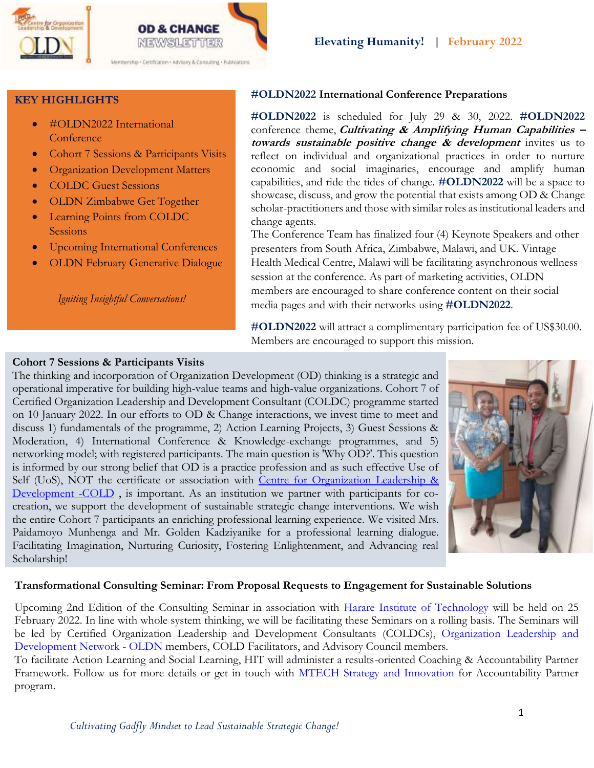

# **KEY HIGHLIGHTS**

- #OLDN2022 International **Conference**
- Cohort 7 Sessions & Participants Visits
- Organization Development Matters
- COLDC Guest Sessions
- OLDN Zimbabwe Get Together
- Learning Points from COLDC **Sessions**
- Upcoming International Conferences
- OLDN February Generative Dialogue

*Igniting Insightful Conversations!*

# **#OLDN2022 International Conference Preparations**

**#OLDN2022** is scheduled for July 29 & 30, 2022. **#OLDN2022** conference theme, **Cultivating & Amplifying Human Capabilities – towards sustainable positive change & development** invites us to reflect on individual and organizational practices in order to nurture economic and social imaginaries, encourage and amplify human capabilities, and ride the tides of change. **#OLDN2022** will be a space to showcase, discuss, and grow the potential that exists among OD & Change scholar-practitioners and those with similar roles as institutional leaders and change agents.

The Conference Team has finalized four (4) Keynote Speakers and other presenters from South Africa, Zimbabwe, Malawi, and UK. Vintage Health Medical Centre, Malawi will be facilitating asynchronous wellness session at the conference. As part of marketing activities, OLDN members are encouraged to share conference content on their social media pages and with their networks using **#OLDN2022**.

**#OLDN2022** will attract a complimentary participation fee of US\$30.00. Members are encouraged to support this mission.

# **Cohort 7 Sessions & Participants Visits**

The thinking and incorporation of Organization Development (OD) thinking is a strategic and operational imperative for building high-value teams and high-value organizations. Cohort 7 of Certified Organization Leadership and Development Consultant (COLDC) programme started on 10 January 2022. In our efforts to OD & Change interactions, we invest time to meet and discuss 1) fundamentals of the programme, 2) Action Learning Projects, 3) Guest Sessions & Moderation, 4) International Conference & Knowledge-exchange programmes, and 5) networking model; with registered participants. The main question is 'Why OD?'. This question is informed by our strong belief that OD is a practice profession and as such effective Use of Self (UoS), NOT the certificate or association with Centre for [Organization](https://www.facebook.com/cold.professionals/?__cft__%5b0%5d=AZUuw10k_cEtIOwnr7fFQrGbGMYqh8hMzkR1E3dyj06siG3ArbmOvYpIH2WLlaayFJie0pHg7vtaIh7xFiMzNqRk6zCqOv5Y5t95LVXH6olRPbgYe0EmtvvQqZQjwp_uGNYf_fl_qguk42w-uq4Ayy8CmKLdSyzVdAGA07Coqgl3z9Jh14WmDhvNTOk381zSJLc&__tn__=kK-R) Leadership & [Development](https://www.facebook.com/cold.professionals/?__cft__%5b0%5d=AZUuw10k_cEtIOwnr7fFQrGbGMYqh8hMzkR1E3dyj06siG3ArbmOvYpIH2WLlaayFJie0pHg7vtaIh7xFiMzNqRk6zCqOv5Y5t95LVXH6olRPbgYe0EmtvvQqZQjwp_uGNYf_fl_qguk42w-uq4Ayy8CmKLdSyzVdAGA07Coqgl3z9Jh14WmDhvNTOk381zSJLc&__tn__=kK-R) -COLD , is important. As an institution we partner with participants for cocreation, we support the development of sustainable strategic change interventions. We wish the entire Cohort 7 participants an enriching professional learning experience. We visited Mrs. Paidamoyo Munhenga and Mr. Golden Kadziyanike for a professional learning dialogue. Facilitating Imagination, Nurturing Curiosity, Fostering Enlightenment, and Advancing real Scholarship!



#### **Transformational Consulting Seminar: From Proposal Requests to Engagement for Sustainable Solutions**

Upcoming 2nd Edition of the Consulting Seminar in association with Harare Institute of [Technology](https://www.facebook.com/HarareInstituteofTechnology/?__cft__%5b0%5d=AZWUUHKijJhdoev4SG79tGNGAbJVPPkPi6LMAkKuniJ6DbETzZLlDibWE0moX45BlJ1AaHnEnhCP34JI5frNCahog4OR1TkJH7UWSwDk67gqbQoV9dBGgMAqs6-OR6kV3Am-PL76aOVHI1x36tLyP_VL0ytZ1aXXxzZWgvqTuA9DMzQxUncGBKdCmUIbsLYe6OE&__tn__=kK-R) will be held on 25 February 2022. In line with whole system thinking, we will be facilitating these Seminars on a rolling basis. The Seminars will be led by Certified Organization Leadership and Development Consultants (COLDCs), [Organization](https://www.facebook.com/groups/2931891850379596/?__cft__%5b0%5d=AZWUUHKijJhdoev4SG79tGNGAbJVPPkPi6LMAkKuniJ6DbETzZLlDibWE0moX45BlJ1AaHnEnhCP34JI5frNCahog4OR1TkJH7UWSwDk67gqbQoV9dBGgMAqs6-OR6kV3Am-PL76aOVHI1x36tLyP_VL0ytZ1aXXxzZWgvqTuA9DMzQxUncGBKdCmUIbsLYe6OE&__tn__=-UK-R) Leadership and [Development](https://www.facebook.com/groups/2931891850379596/?__cft__%5b0%5d=AZWUUHKijJhdoev4SG79tGNGAbJVPPkPi6LMAkKuniJ6DbETzZLlDibWE0moX45BlJ1AaHnEnhCP34JI5frNCahog4OR1TkJH7UWSwDk67gqbQoV9dBGgMAqs6-OR6kV3Am-PL76aOVHI1x36tLyP_VL0ytZ1aXXxzZWgvqTuA9DMzQxUncGBKdCmUIbsLYe6OE&__tn__=-UK-R) Network - OLDN members, COLD Facilitators, and Advisory Council members.

To facilitate Action Learning and Social Learning, HIT will administer a results-oriented Coaching & Accountability Partner Framework. Follow us for more details or get in touch with MTECH Strategy and [Innovation](https://www.facebook.com/hitstrategy.innovation/?__cft__%5b0%5d=AZWUUHKijJhdoev4SG79tGNGAbJVPPkPi6LMAkKuniJ6DbETzZLlDibWE0moX45BlJ1AaHnEnhCP34JI5frNCahog4OR1TkJH7UWSwDk67gqbQoV9dBGgMAqs6-OR6kV3Am-PL76aOVHI1x36tLyP_VL0ytZ1aXXxzZWgvqTuA9DMzQxUncGBKdCmUIbsLYe6OE&__tn__=kK-R) for Accountability Partner program.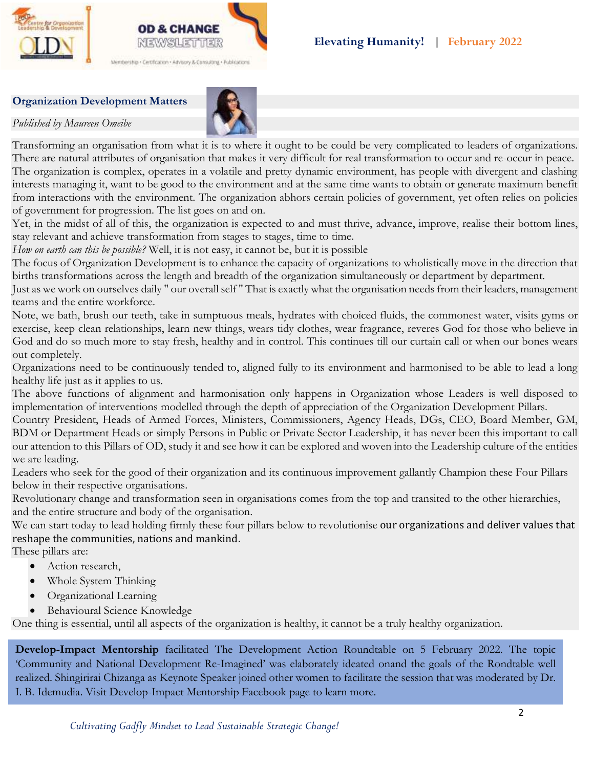

### **Organization Development Matters**

*Published by Maureen Omeibe*



Transforming an organisation from what it is to where it ought to be could be very complicated to leaders of organizations. There are natural attributes of organisation that makes it very difficult for real transformation to occur and re-occur in peace. The organization is complex, operates in a volatile and pretty dynamic environment, has people with divergent and clashing interests managing it, want to be good to the environment and at the same time wants to obtain or generate maximum benefit from interactions with the environment. The organization abhors certain policies of government, yet often relies on policies of government for progression. The list goes on and on.

Yet, in the midst of all of this, the organization is expected to and must thrive, advance, improve, realise their bottom lines, stay relevant and achieve transformation from stages to stages, time to time.

*How on earth can this be possible?* Well, it is not easy, it cannot be, but it is possible

The focus of Organization Development is to enhance the capacity of organizations to wholistically move in the direction that births transformations across the length and breadth of the organization simultaneously or department by department.

Just as we work on ourselves daily " our overall self " That is exactly what the organisation needs from their leaders, management teams and the entire workforce.

Note, we bath, brush our teeth, take in sumptuous meals, hydrates with choiced fluids, the commonest water, visits gyms or exercise, keep clean relationships, learn new things, wears tidy clothes, wear fragrance, reveres God for those who believe in God and do so much more to stay fresh, healthy and in control. This continues till our curtain call or when our bones wears out completely.

Organizations need to be continuously tended to, aligned fully to its environment and harmonised to be able to lead a long healthy life just as it applies to us.

The above functions of alignment and harmonisation only happens in Organization whose Leaders is well disposed to implementation of interventions modelled through the depth of appreciation of the Organization Development Pillars.

Country President, Heads of Armed Forces, Ministers, Commissioners, Agency Heads, DGs, CEO, Board Member, GM, BDM or Department Heads or simply Persons in Public or Private Sector Leadership, it has never been this important to call our attention to this Pillars of OD, study it and see how it can be explored and woven into the Leadership culture of the entities we are leading.

Leaders who seek for the good of their organization and its continuous improvement gallantly Champion these Four Pillars below in their respective organisations.

Revolutionary change and transformation seen in organisations comes from the top and transited to the other hierarchies, and the entire structure and body of the organisation.

We can start today to lead holding firmly these four pillars below to revolutionise our organizations and deliver values that reshape the communities, nations and mankind.

These pillars are:

- Action research,
- Whole System Thinking
- Organizational Learning
- Behavioural Science Knowledge

One thing is essential, until all aspects of the organization is healthy, it cannot be a truly healthy organization.

**Develop-Impact Mentorship** facilitated The Development Action Roundtable on 5 February 2022. The topic 'Community and National Development Re-Imagined' was elaborately ideated onand the goals of the Rondtable well realized. Shingirirai Chizanga as Keynote Speaker joined other women to facilitate the session that was moderated by Dr. I. B. Idemudia. Visit Develop-Impact Mentorship Facebook page to learn more.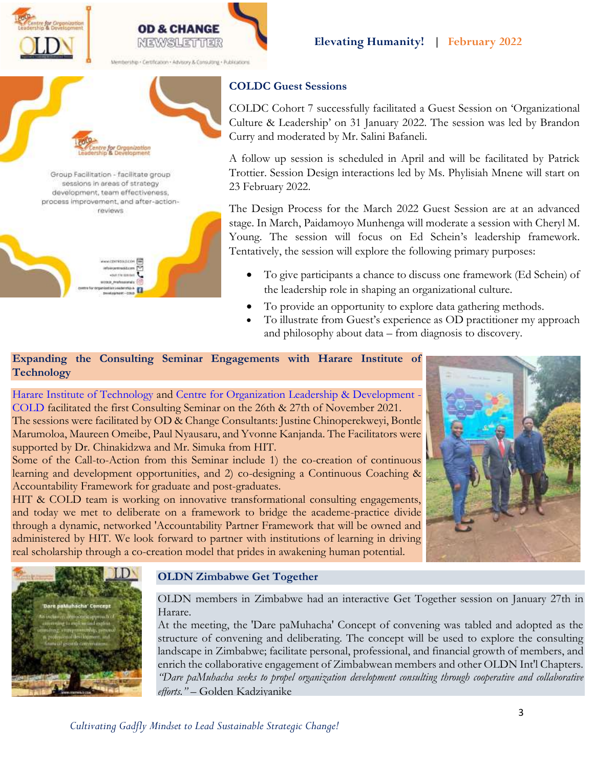**NEWSLETTER** 

bership . Certification . Advisory & Consulting . Publications

Group Facilitation - facilitate group sessions in areas of strategy development, team effectiveness, process improvement, and after-actionreviews

> WODENFOLD.COM modular trackd.com visit 734 line bad altout Prefessorials (O) nization Loaderston

# **COLDC Guest Sessions**

COLDC Cohort 7 successfully facilitated a Guest Session on 'Organizational Culture & Leadership' on 31 January 2022. The session was led by Brandon Curry and moderated by Mr. Salini Bafaneli.

A follow up session is scheduled in April and will be facilitated by Patrick Trottier. Session Design interactions led by Ms. Phylisiah Mnene will start on 23 February 2022.

The Design Process for the March 2022 Guest Session are at an advanced stage. In March, Paidamoyo Munhenga will moderate a session with Cheryl M. Young. The session will focus on Ed Schein's leadership framework. Tentatively, the session will explore the following primary purposes:

- To give participants a chance to discuss one framework (Ed Schein) of the leadership role in shaping an organizational culture.
- To provide an opportunity to explore data gathering methods.
- To illustrate from Guest's experience as OD practitioner my approach and philosophy about data – from diagnosis to discovery.

## **Expanding the Consulting Seminar Engagements with Harare Institute of Technology**

Harare Institute of [Technology](https://www.facebook.com/HarareInstituteofTechnology/?__cft__%5b0%5d=AZV3SiwXod75Y5gzKdBFnvzTwjxLI87oUeJi9O3zGIzgIqor31sNJnNuGF5l9PbYEj8MC_QpURs1cYS24aKmBQyeW43ckstjvrnl4LrtA2s8Bd9XJjKQ8pBMBhO7xoxwe-zNZbOFFgiKaEQ9ArHUFO2knCfHNgEXUUaAhigusDaiN0gN9tPdehLNCo5bLQqueBo&__tn__=kK-R) and Centre for Organization Leadership & [Development](https://www.facebook.com/cold.professionals/?__cft__%5b0%5d=AZV3SiwXod75Y5gzKdBFnvzTwjxLI87oUeJi9O3zGIzgIqor31sNJnNuGF5l9PbYEj8MC_QpURs1cYS24aKmBQyeW43ckstjvrnl4LrtA2s8Bd9XJjKQ8pBMBhO7xoxwe-zNZbOFFgiKaEQ9ArHUFO2knCfHNgEXUUaAhigusDaiN0gN9tPdehLNCo5bLQqueBo&__tn__=kK-R) - [COLD](https://www.facebook.com/cold.professionals/?__cft__%5b0%5d=AZV3SiwXod75Y5gzKdBFnvzTwjxLI87oUeJi9O3zGIzgIqor31sNJnNuGF5l9PbYEj8MC_QpURs1cYS24aKmBQyeW43ckstjvrnl4LrtA2s8Bd9XJjKQ8pBMBhO7xoxwe-zNZbOFFgiKaEQ9ArHUFO2knCfHNgEXUUaAhigusDaiN0gN9tPdehLNCo5bLQqueBo&__tn__=kK-R) facilitated the first Consulting Seminar on the 26th & 27th of November 2021. The sessions were facilitated by OD & Change Consultants: Justine Chinoperekweyi, Bontle Marumoloa, Maureen Omeibe, Paul Nyausaru, and Yvonne Kanjanda. The Facilitators were supported by Dr. Chinakidzwa and Mr. Simuka from HIT.

Some of the Call-to-Action from this Seminar include 1) the co-creation of continuous learning and development opportunities, and 2) co-designing a Continuous Coaching & Accountability Framework for graduate and post-graduates.

HIT & COLD team is working on innovative transformational consulting engagements, and today we met to deliberate on a framework to bridge the academe-practice divide through a dynamic, networked 'Accountability Partner Framework that will be owned and administered by HIT. We look forward to partner with institutions of learning in driving real scholarship through a co-creation model that prides in awakening human potential.





# **OLDN Zimbabwe Get Together**

OLDN members in Zimbabwe had an interactive Get Together session on January 27th in Harare.

At the meeting, the 'Dare paMuhacha' Concept of convening was tabled and adopted as the structure of convening and deliberating. The concept will be used to explore the consulting landscape in Zimbabwe; facilitate personal, professional, and financial growth of members, and enrich the collaborative engagement of Zimbabwean members and other OLDN Int'l Chapters. *"Dare paMuhacha seeks to propel organization development consulting through cooperative and collaborative efforts."* – Golden Kadziyanike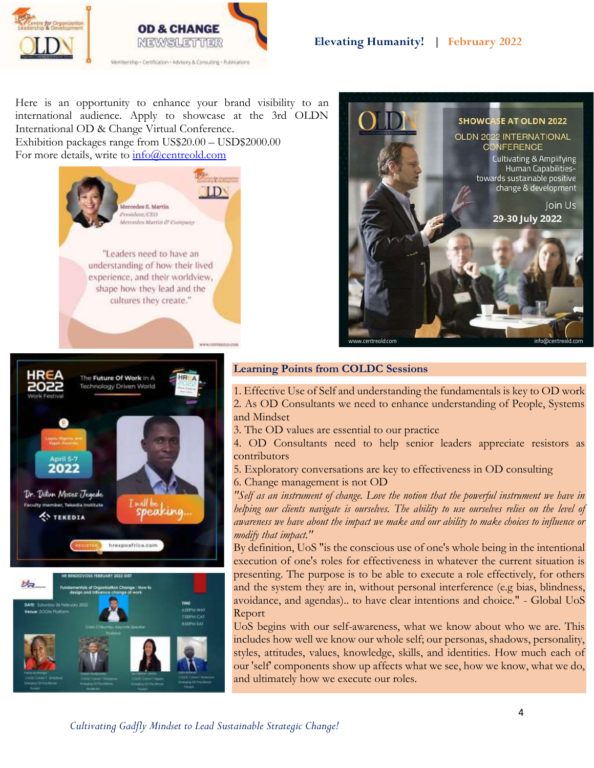



Here is an opportunity to enhance your brand visibility to an international audience. Apply to showcase at the 3rd OLDN International OD & Change Virtual Conference. Exhibition packages range from US\$20.00 – USD\$2000.00 For more details, write to  $\frac{info@centreold.com}{info@centreold.com}$ 





hrespoafrica.com



### **Learning Points from COLDC Sessions**

1. Effective Use of Self and understanding the fundamentals is key to OD work 2. As OD Consultants we need to enhance understanding of People, Systems and Mindset

3. The OD values are essential to our practice

4. OD Consultants need to help senior leaders appreciate resistors as contributors

- 5. Exploratory conversations are key to effectiveness in OD consulting
- 6. Change management is not OD

*"Self as an instrument of change. Love the notion that the powerful instrument we have in helping our clients navigate is ourselves. The ability to use ourselves relies on the level of awareness we have about the impact we make and our ability to make choices to influence or modify that impact."*

By definition, UoS "is the conscious use of one's whole being in the intentional execution of one's roles for effectiveness in whatever the current situation is presenting. The purpose is to be able to execute a role effectively, for others and the system they are in, without personal interference (e.g bias, blindness, avoidance, and agendas).. to have clear intentions and choice." - Global UoS Report

UoS begins with our self-awareness, what we know about who we are. This includes how well we know our whole self; our personas, shadows, personality, styles, attitudes, values, knowledge, skills, and identities. How much each of our 'self' components show up affects what we see, how we know, what we do, and ultimately how we execute our roles.